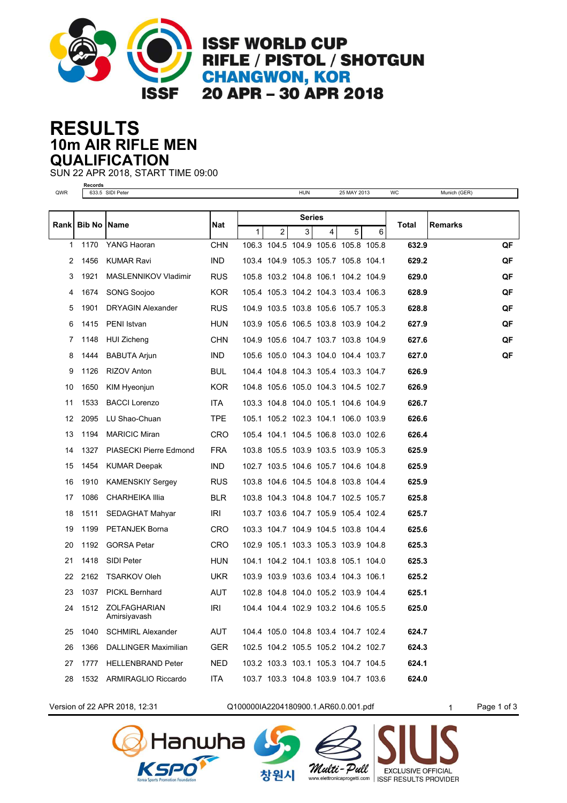

**ISSF WORLD CUP** RIFLE / PISTOL / SHOTGUN **CHANGWON, KOR** 20 APR - 30 APR 2018

## **10m AIR RIFLE MEN RESULTS QUALIFICATION**

SUN 22 APR 2018, START TIME 09:00

**Records**

| QWR  |                      | 633.5 SIDI Peter             |            |   |               | <b>HUN</b> |   | 25 MAY 2013                         |   | WC    | Munich (GER)   |    |
|------|----------------------|------------------------------|------------|---|---------------|------------|---|-------------------------------------|---|-------|----------------|----|
|      |                      |                              |            |   |               |            |   |                                     |   |       |                |    |
| Rank | <b>Bib No   Name</b> |                              | Nat        |   | <b>Series</b> |            |   |                                     |   | Total | <b>Remarks</b> |    |
|      |                      |                              |            | 1 | 2             | 3          | 4 | 5                                   | 6 |       |                |    |
| 1    | 1170                 | YANG Haoran                  | <b>CHN</b> |   |               |            |   | 106.3 104.5 104.9 105.6 105.8 105.8 |   | 632.9 |                | QF |
| 2    | 1456                 | <b>KUMAR Ravi</b>            | <b>IND</b> |   |               |            |   | 103.4 104.9 105.3 105.7 105.8 104.1 |   | 629.2 |                | QF |
| 3    | 1921                 | MASLENNIKOV Vladimir         | <b>RUS</b> |   |               |            |   | 105.8 103.2 104.8 106.1 104.2 104.9 |   | 629.0 |                | QF |
| 4    | 1674                 | <b>SONG Soojoo</b>           | <b>KOR</b> |   |               |            |   | 105.4 105.3 104.2 104.3 103.4 106.3 |   | 628.9 |                | QF |
| 5    | 1901                 | <b>DRYAGIN Alexander</b>     | <b>RUS</b> |   |               |            |   | 104.9 103.5 103.8 105.6 105.7 105.3 |   | 628.8 |                | QF |
| 6    | 1415                 | PENI Istvan                  | <b>HUN</b> |   |               |            |   | 103.9 105.6 106.5 103.8 103.9 104.2 |   | 627.9 |                | QF |
| 7    | 1148                 | <b>HUI Zicheng</b>           | <b>CHN</b> |   |               |            |   | 104.9 105.6 104.7 103.7 103.8 104.9 |   | 627.6 |                | QF |
| 8    | 1444                 | <b>BABUTA Arjun</b>          | <b>IND</b> |   |               |            |   | 105.6 105.0 104.3 104.0 104.4 103.7 |   | 627.0 |                | QF |
| 9    | 1126                 | <b>RIZOV Anton</b>           | <b>BUL</b> |   |               |            |   | 104.4 104.8 104.3 105.4 103.3 104.7 |   | 626.9 |                |    |
| 10   | 1650                 | KIM Hyeonjun                 | <b>KOR</b> |   |               |            |   | 104.8 105.6 105.0 104.3 104.5 102.7 |   | 626.9 |                |    |
| 11   | 1533                 | <b>BACCI Lorenzo</b>         | <b>ITA</b> |   |               |            |   | 103.3 104.8 104.0 105.1 104.6 104.9 |   | 626.7 |                |    |
| 12   | 2095                 | LU Shao-Chuan                | <b>TPE</b> |   |               |            |   | 105.1 105.2 102.3 104.1 106.0 103.9 |   | 626.6 |                |    |
| 13   | 1194                 | <b>MARICIC Miran</b>         | <b>CRO</b> |   |               |            |   | 105.4 104.1 104.5 106.8 103.0 102.6 |   | 626.4 |                |    |
| 14   | 1327                 | PIASECKI Pierre Edmond       | <b>FRA</b> |   |               |            |   | 103.8 105.5 103.9 103.5 103.9 105.3 |   | 625.9 |                |    |
| 15   | 1454                 | <b>KUMAR Deepak</b>          | <b>IND</b> |   |               |            |   | 102.7 103.5 104.6 105.7 104.6 104.8 |   | 625.9 |                |    |
| 16   | 1910                 | <b>KAMENSKIY Sergey</b>      | <b>RUS</b> |   |               |            |   | 103.8 104.6 104.5 104.8 103.8 104.4 |   | 625.9 |                |    |
| 17   | 1086                 | <b>CHARHEIKA Illia</b>       | <b>BLR</b> |   |               |            |   | 103.8 104.3 104.8 104.7 102.5 105.7 |   | 625.8 |                |    |
| 18   | 1511                 | SEDAGHAT Mahyar              | IRI        |   |               |            |   | 103.7 103.6 104.7 105.9 105.4 102.4 |   | 625.7 |                |    |
| 19   | 1199                 | <b>PETANJEK Borna</b>        | CRO        |   |               |            |   | 103.3 104.7 104.9 104.5 103.8 104.4 |   | 625.6 |                |    |
| 20   | 1192                 | <b>GORSA Petar</b>           | <b>CRO</b> |   |               |            |   | 102.9 105.1 103.3 105.3 103.9 104.8 |   | 625.3 |                |    |
| 21   | 1418                 | SIDI Peter                   | <b>HUN</b> |   |               |            |   | 104.1 104.2 104.1 103.8 105.1 104.0 |   | 625.3 |                |    |
| 22   | 2162                 | <b>TSARKOV Oleh</b>          | <b>UKR</b> |   |               |            |   | 103.9 103.9 103.6 103.4 104.3 106.1 |   | 625.2 |                |    |
| 23   | 1037                 | <b>PICKL Bernhard</b>        | <b>AUT</b> |   |               |            |   | 102.8 104.8 104.0 105.2 103.9 104.4 |   | 625.1 |                |    |
| 24   | 1512                 | ZOLFAGHARIAN<br>Amirsiyavash | <b>IRI</b> |   |               |            |   | 104.4 104.4 102.9 103.2 104.6 105.5 |   | 625.0 |                |    |
| 25   | 1040                 | <b>SCHMIRL Alexander</b>     | <b>AUT</b> |   |               |            |   | 104.4 105.0 104.8 103.4 104.7 102.4 |   | 624.7 |                |    |
| 26   | 1366                 | DALLINGER Maximilian         | <b>GER</b> |   |               |            |   | 102.5 104.2 105.5 105.2 104.2 102.7 |   | 624.3 |                |    |
| 27   | 1777                 | <b>HELLENBRAND Peter</b>     | <b>NED</b> |   |               |            |   | 103.2 103.3 103.1 105.3 104.7 104.5 |   | 624.1 |                |    |
| 28   | 1532                 | ARMIRAGLIO Riccardo          | <b>ITA</b> |   |               |            |   | 103.7 103.3 104.8 103.9 104.7 103.6 |   | 624.0 |                |    |

Version of 22 APR 2018, 12:31 Q100000IA2204180900.1.AR60.0.001.pdf 1 Page 1 of 3





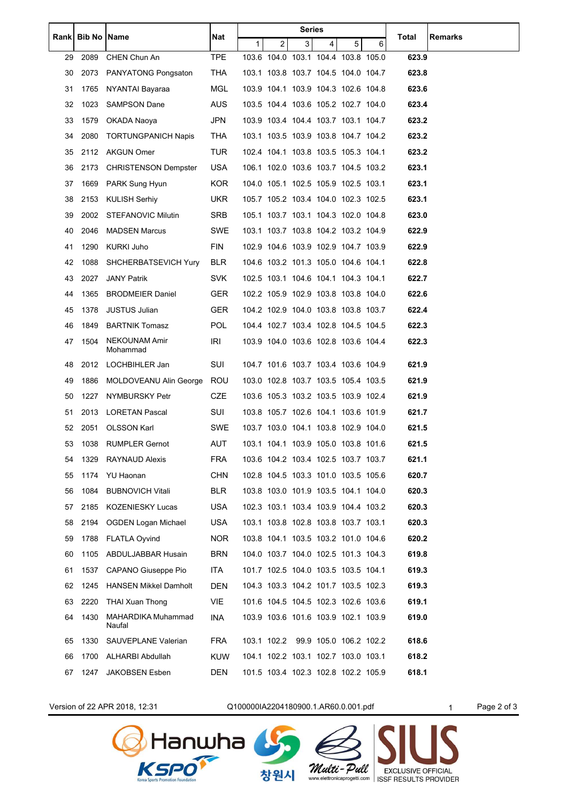| Rankl | <b>Bib No   Name</b> |                                  | Nat        | Series |                |                                     |   |   |   |       |         |
|-------|----------------------|----------------------------------|------------|--------|----------------|-------------------------------------|---|---|---|-------|---------|
|       |                      |                                  |            | 1      | $\overline{2}$ | 3                                   | 4 | 5 | 6 | Total | Remarks |
| 29    | 2089                 | CHEN Chun An                     | <b>TPE</b> |        |                | 103.6 104.0 103.1 104.4 103.8 105.0 |   |   |   | 623.9 |         |
| 30    | 2073                 | <b>PANYATONG Pongsaton</b>       | THA        |        |                | 103.1 103.8 103.7 104.5 104.0 104.7 |   |   |   | 623.8 |         |
| 31    | 1765                 | NYANTAI Bayaraa                  | <b>MGL</b> |        |                | 103.9 104.1 103.9 104.3 102.6 104.8 |   |   |   | 623.6 |         |
| 32    | 1023                 | <b>SAMPSON Dane</b>              | <b>AUS</b> |        |                | 103.5 104.4 103.6 105.2 102.7 104.0 |   |   |   | 623.4 |         |
| 33    | 1579                 | OKADA Naoya                      | <b>JPN</b> |        |                | 103.9 103.4 104.4 103.7 103.1 104.7 |   |   |   | 623.2 |         |
| 34    | 2080                 | <b>TORTUNGPANICH Napis</b>       | THA        |        |                | 103.1 103.5 103.9 103.8 104.7 104.2 |   |   |   | 623.2 |         |
| 35    | 2112                 | <b>AKGUN Omer</b>                | <b>TUR</b> |        |                | 102.4 104.1 103.8 103.5 105.3 104.1 |   |   |   | 623.2 |         |
| 36    | 2173                 | <b>CHRISTENSON Dempster</b>      | <b>USA</b> |        |                | 106.1 102.0 103.6 103.7 104.5 103.2 |   |   |   | 623.1 |         |
| 37    | 1669                 | PARK Sung Hyun                   | KOR.       |        |                | 104.0 105.1 102.5 105.9 102.5 103.1 |   |   |   | 623.1 |         |
| 38    | 2153                 | KULISH Serhiy                    | UKR.       |        |                | 105.7 105.2 103.4 104.0 102.3 102.5 |   |   |   | 623.1 |         |
| 39    | 2002                 | <b>STEFANOVIC Milutin</b>        | <b>SRB</b> |        |                | 105.1 103.7 103.1 104.3 102.0 104.8 |   |   |   | 623.0 |         |
| 40    | 2046                 | <b>MADSEN Marcus</b>             | SWE        |        |                | 103.1 103.7 103.8 104.2 103.2 104.9 |   |   |   | 622.9 |         |
| 41    | 1290                 | KURKI Juho                       | FIN        |        |                | 102.9 104.6 103.9 102.9 104.7 103.9 |   |   |   | 622.9 |         |
| 42    | 1088                 | SHCHERBATSEVICH Yury             | BLR.       |        |                | 104.6 103.2 101.3 105.0 104.6 104.1 |   |   |   | 622.8 |         |
| 43    | 2027                 | <b>JANY Patrik</b>               | <b>SVK</b> |        |                | 102.5 103.1 104.6 104.1 104.3 104.1 |   |   |   | 622.7 |         |
| 44    | 1365                 | <b>BRODMEIER Daniel</b>          | <b>GER</b> |        |                | 102.2 105.9 102.9 103.8 103.8 104.0 |   |   |   | 622.6 |         |
| 45    | 1378                 | <b>JUSTUS Julian</b>             | <b>GER</b> |        |                | 104.2 102.9 104.0 103.8 103.8 103.7 |   |   |   | 622.4 |         |
| 46    | 1849                 | <b>BARTNIK Tomasz</b>            | POL        |        |                | 104.4 102.7 103.4 102.8 104.5 104.5 |   |   |   | 622.3 |         |
| 47    | 1504                 | <b>NEKOUNAM Amir</b><br>Mohammad | IRI        |        |                | 103.9 104.0 103.6 102.8 103.6 104.4 |   |   |   | 622.3 |         |
| 48    |                      | 2012 LOCHBIHLER Jan              | SUI        |        |                | 104.7 101.6 103.7 103.4 103.6 104.9 |   |   |   | 621.9 |         |
| 49    | 1886                 | MOLDOVEANU Alin George           | ROU        |        |                | 103.0 102.8 103.7 103.5 105.4 103.5 |   |   |   | 621.9 |         |
| 50    | 1227                 | NYMBURSKY Petr                   | <b>CZE</b> |        |                | 103.6 105.3 103.2 103.5 103.9 102.4 |   |   |   | 621.9 |         |
| 51    | 2013                 | <b>LORETAN Pascal</b>            | SUI        |        |                | 103.8 105.7 102.6 104.1 103.6 101.9 |   |   |   | 621.7 |         |
| 52    | 2051                 | <b>OLSSON Karl</b>               | SWE        |        |                | 103.7 103.0 104.1 103.8 102.9 104.0 |   |   |   | 621.5 |         |
| 53    | 1038                 | <b>RUMPLER Gernot</b>            | AUT        |        |                | 103.1 104.1 103.9 105.0 103.8 101.6 |   |   |   | 621.5 |         |
| 54    | 1329                 | <b>RAYNAUD Alexis</b>            | FRA        |        |                | 103.6 104.2 103.4 102.5 103.7 103.7 |   |   |   | 621.1 |         |
| 55    | 1174                 | YU Haonan                        | <b>CHN</b> |        |                | 102.8 104.5 103.3 101.0 103.5 105.6 |   |   |   | 620.7 |         |
| 56    | 1084                 | <b>BUBNOVICH Vitali</b>          | <b>BLR</b> |        |                | 103.8 103.0 101.9 103.5 104.1 104.0 |   |   |   | 620.3 |         |
| 57    | 2185                 | <b>KOZENIESKY Lucas</b>          | USA        |        |                | 102.3 103.1 103.4 103.9 104.4 103.2 |   |   |   | 620.3 |         |
| 58    | 2194                 | OGDEN Logan Michael              | USA        |        |                | 103.1 103.8 102.8 103.8 103.7 103.1 |   |   |   | 620.3 |         |
| 59    | 1788                 | <b>FLATLA Oyvind</b>             | NOR        |        |                | 103.8 104.1 103.5 103.2 101.0 104.6 |   |   |   | 620.2 |         |
| 60    | 1105                 | ABDULJABBAR Husain               | <b>BRN</b> |        |                | 104.0 103.7 104.0 102.5 101.3 104.3 |   |   |   | 619.8 |         |
| 61    | 1537                 | CAPANO Giuseppe Pio              | ITA.       |        |                | 101.7 102.5 104.0 103.5 103.5 104.1 |   |   |   | 619.3 |         |
| 62    | 1245                 | <b>HANSEN Mikkel Damholt</b>     | <b>DEN</b> |        |                | 104.3 103.3 104.2 101.7 103.5 102.3 |   |   |   | 619.3 |         |
| 63    | 2220                 | <b>THAI Xuan Thong</b>           | VIE.       |        |                | 101.6 104.5 104.5 102.3 102.6 103.6 |   |   |   | 619.1 |         |
| 64    | 1430                 | MAHARDIKA Muhammad<br>Naufal     | INA        |        |                | 103.9 103.6 101.6 103.9 102.1 103.9 |   |   |   | 619.0 |         |
| 65    | 1330                 | SAUVEPLANE Valerian              | <b>FRA</b> |        |                | 103.1 102.2 99.9 105.0 106.2 102.2  |   |   |   | 618.6 |         |
| 66    | 1700                 | ALHARBI Abdullah                 | <b>KUW</b> |        |                | 104.1 102.2 103.1 102.7 103.0 103.1 |   |   |   | 618.2 |         |
| 67    | 1247                 | <b>JAKOBSEN Esben</b>            | DEN        |        |                | 101.5 103.4 102.3 102.8 102.2 105.9 |   |   |   | 618.1 |         |
|       |                      |                                  |            |        |                |                                     |   |   |   |       |         |

Version of 22 APR 2018, 12:31 Q100000IA2204180900.1.AR60.0.001.pdf 1 Page 2 of 3